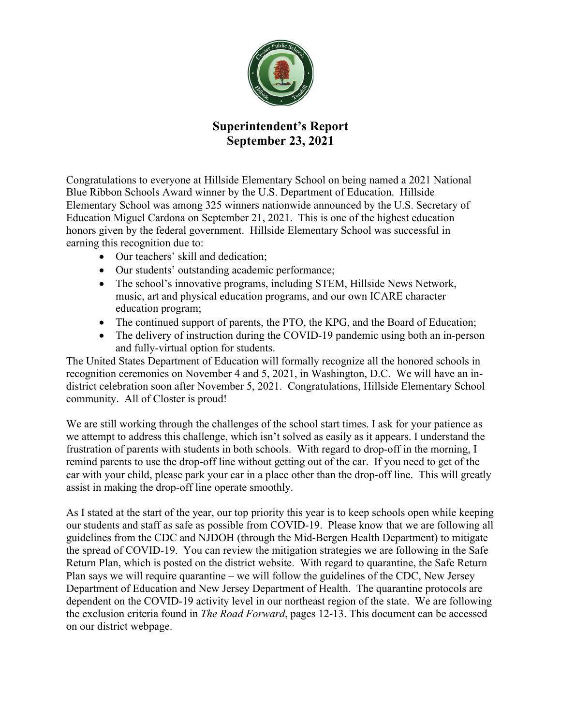

## **Superintendent's Report September 23, 2021**

Congratulations to everyone at Hillside Elementary School on being named a 2021 National Blue Ribbon Schools Award winner by the U.S. Department of Education. Hillside Elementary School was among 325 winners nationwide announced by the U.S. Secretary of Education Miguel Cardona on September 21, 2021. This is one of the highest education honors given by the federal government. Hillside Elementary School was successful in earning this recognition due to:

- Our teachers' skill and dedication;
- Our students' outstanding academic performance;
- The school's innovative programs, including STEM, Hillside News Network, music, art and physical education programs, and our own ICARE character education program;
- The continued support of parents, the PTO, the KPG, and the Board of Education;
- The delivery of instruction during the COVID-19 pandemic using both an in-person and fully-virtual option for students.

The United States Department of Education will formally recognize all the honored schools in recognition ceremonies on November 4 and 5, 2021, in Washington, D.C. We will have an indistrict celebration soon after November 5, 2021. Congratulations, Hillside Elementary School community. All of Closter is proud!

We are still working through the challenges of the school start times. I ask for your patience as we attempt to address this challenge, which isn't solved as easily as it appears. I understand the frustration of parents with students in both schools. With regard to drop-off in the morning, I remind parents to use the drop-off line without getting out of the car. If you need to get of the car with your child, please park your car in a place other than the drop-off line. This will greatly assist in making the drop-off line operate smoothly.

As I stated at the start of the year, our top priority this year is to keep schools open while keeping our students and staff as safe as possible from COVID-19. Please know that we are following all guidelines from the CDC and NJDOH (through the Mid-Bergen Health Department) to mitigate the spread of COVID-19. You can review the mitigation strategies we are following in the Safe Return Plan, which is posted on the district website. With regard to quarantine, the Safe Return Plan says we will require quarantine – we will follow the guidelines of the CDC, New Jersey Department of Education and New Jersey Department of Health. The quarantine protocols are dependent on the COVID-19 activity level in our northeast region of the state. We are following the exclusion criteria found in *The Road Forward*, pages 12-13. This document can be accessed on our district webpage.